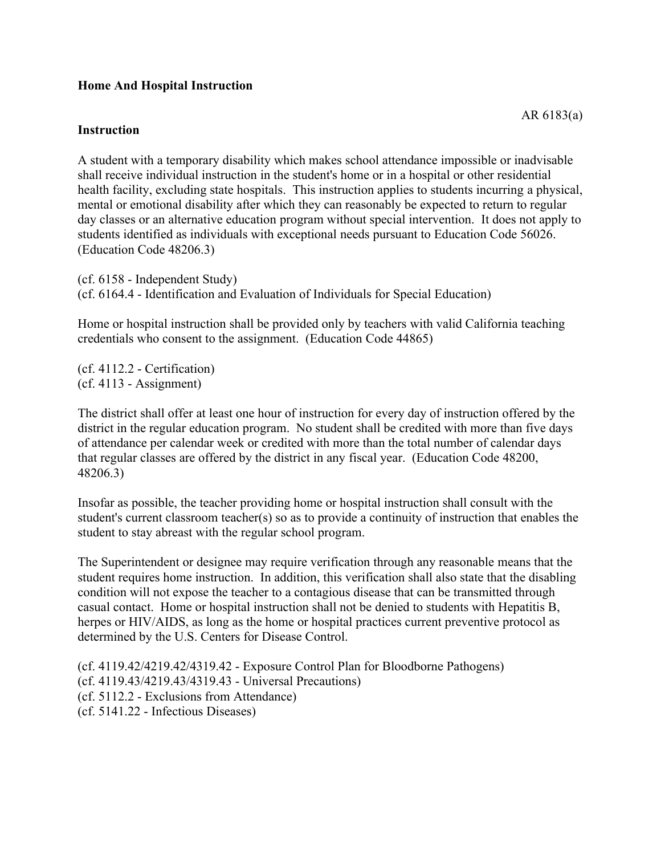## **Home And Hospital Instruction**

## **Instruction**

A student with a temporary disability which makes school attendance impossible or inadvisable shall receive individual instruction in the student's home or in a hospital or other residential health facility, excluding state hospitals. This instruction applies to students incurring a physical, mental or emotional disability after which they can reasonably be expected to return to regular day classes or an alternative education program without special intervention. It does not apply to students identified as individuals with exceptional needs pursuant to Education Code 56026. (Education Code 48206.3)

(cf. 6158 - Independent Study) (cf. 6164.4 - Identification and Evaluation of Individuals for Special Education)

Home or hospital instruction shall be provided only by teachers with valid California teaching credentials who consent to the assignment. (Education Code 44865)

(cf. 4112.2 - Certification) (cf. 4113 - Assignment)

The district shall offer at least one hour of instruction for every day of instruction offered by the district in the regular education program. No student shall be credited with more than five days of attendance per calendar week or credited with more than the total number of calendar days that regular classes are offered by the district in any fiscal year. (Education Code 48200, 48206.3)

Insofar as possible, the teacher providing home or hospital instruction shall consult with the student's current classroom teacher(s) so as to provide a continuity of instruction that enables the student to stay abreast with the regular school program.

The Superintendent or designee may require verification through any reasonable means that the student requires home instruction. In addition, this verification shall also state that the disabling condition will not expose the teacher to a contagious disease that can be transmitted through casual contact. Home or hospital instruction shall not be denied to students with Hepatitis B, herpes or HIV/AIDS, as long as the home or hospital practices current preventive protocol as determined by the U.S. Centers for Disease Control.

(cf. 4119.42/4219.42/4319.42 - Exposure Control Plan for Bloodborne Pathogens) (cf. 4119.43/4219.43/4319.43 - Universal Precautions) (cf. 5112.2 - Exclusions from Attendance) (cf. 5141.22 - Infectious Diseases)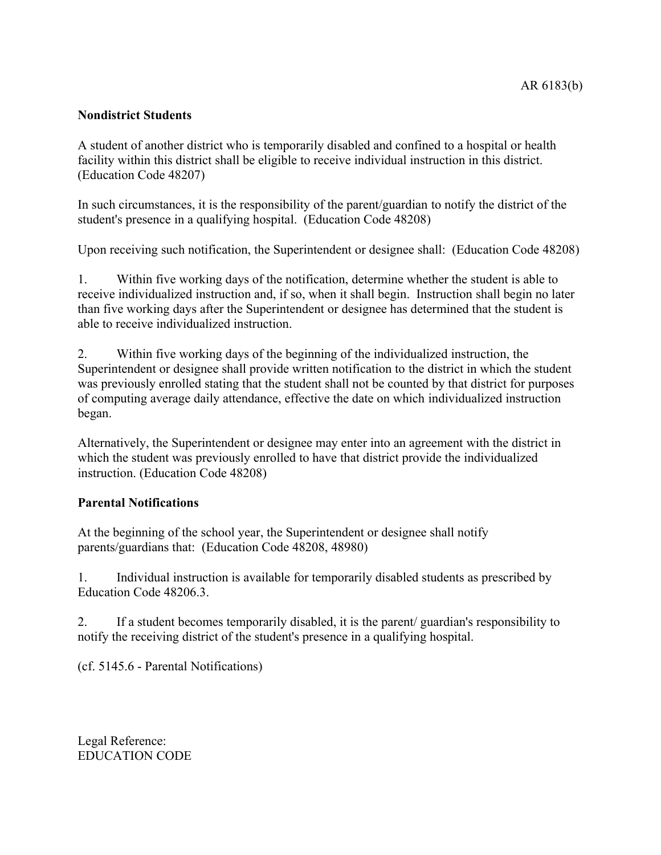## **Nondistrict Students**

A student of another district who is temporarily disabled and confined to a hospital or health facility within this district shall be eligible to receive individual instruction in this district. (Education Code 48207)

In such circumstances, it is the responsibility of the parent/guardian to notify the district of the student's presence in a qualifying hospital. (Education Code 48208)

Upon receiving such notification, the Superintendent or designee shall: (Education Code 48208)

1. Within five working days of the notification, determine whether the student is able to receive individualized instruction and, if so, when it shall begin. Instruction shall begin no later than five working days after the Superintendent or designee has determined that the student is able to receive individualized instruction.

2. Within five working days of the beginning of the individualized instruction, the Superintendent or designee shall provide written notification to the district in which the student was previously enrolled stating that the student shall not be counted by that district for purposes of computing average daily attendance, effective the date on which individualized instruction began.

Alternatively, the Superintendent or designee may enter into an agreement with the district in which the student was previously enrolled to have that district provide the individualized instruction. (Education Code 48208)

## **Parental Notifications**

At the beginning of the school year, the Superintendent or designee shall notify parents/guardians that: (Education Code 48208, 48980)

1. Individual instruction is available for temporarily disabled students as prescribed by Education Code 48206.3.

2. If a student becomes temporarily disabled, it is the parent/ guardian's responsibility to notify the receiving district of the student's presence in a qualifying hospital.

(cf. 5145.6 - Parental Notifications)

Legal Reference: EDUCATION CODE